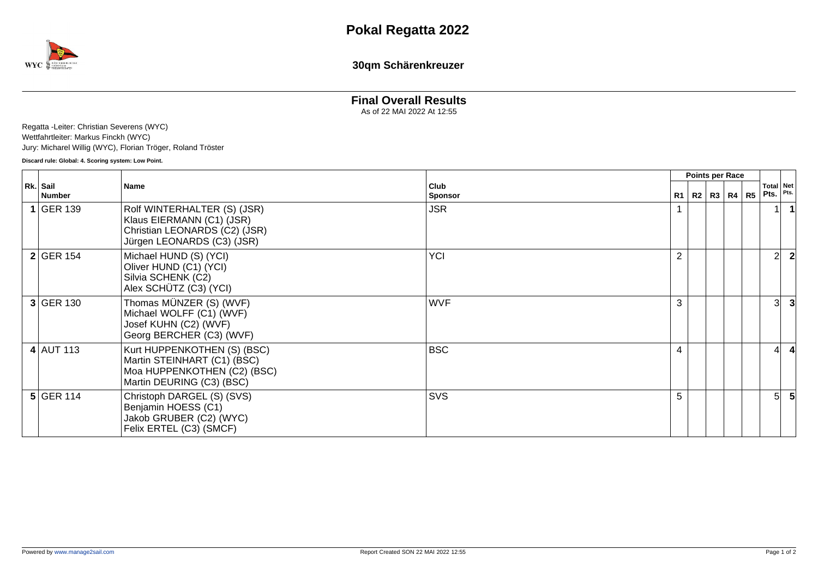

**30qm Schärenkreuzer**

## **Final Overall Results**

As of 22 MAI 2022 At 12:55

Regatta -Leiter: Christian Severens (WYC) Wettfahrtleiter: Markus Finckh (WYC) Jury: Micharel Willig (WYC), Florian Tröger, Roland Tröster

**Discard rule: Global: 4. Scoring system: Low Point.**

|  |                      |                                                                                                                         |                        | <b>Points per Race</b> |  |  |                   |                |                   |      |
|--|----------------------|-------------------------------------------------------------------------------------------------------------------------|------------------------|------------------------|--|--|-------------------|----------------|-------------------|------|
|  | Rk. Sail<br>  Number | <b>Name</b>                                                                                                             | Club<br><b>Sponsor</b> |                        |  |  | R1   R2   R3   R4 | R <sub>5</sub> | Total Net<br>Pts. | Pts. |
|  | $1$ GER 139          | Rolf WINTERHALTER (S) (JSR)<br>Klaus EIERMANN (C1) (JSR)<br>Christian LEONARDS (C2) (JSR)<br>Jürgen LEONARDS (C3) (JSR) | <b>JSR</b>             |                        |  |  |                   |                |                   |      |
|  | $2$ GER 154          | Michael HUND (S) (YCI)<br>Oliver HUND (C1) (YCI)<br>Silvia SCHENK (C2)<br>Alex SCHÜTZ (C3) (YCI)                        | <b>YCI</b>             | $\overline{2}$         |  |  |                   |                | 2 <sup>1</sup>    |      |
|  | 3 GER 130            | Thomas MÜNZER (S) (WVF)<br>Michael WOLFF (C1) (WVF)<br>Josef KUHN (C2) (WVF)<br>Georg BERCHER (C3) (WVF)                | <b>WVF</b>             | 3                      |  |  |                   |                | 31                |      |
|  | $4$ AUT 113          | Kurt HUPPENKOTHEN (S) (BSC)<br>Martin STEINHART (C1) (BSC)<br>Moa HUPPENKOTHEN (C2) (BSC)<br>Martin DEURING (C3) (BSC)  | <b>BSC</b>             | 4                      |  |  |                   |                |                   |      |
|  | $5$ GER 114          | Christoph DARGEL (S) (SVS)<br>Benjamin HOESS (C1)<br>Jakob GRUBER (C2) (WYC)<br>Felix ERTEL (C3) (SMCF)                 | <b>SVS</b>             | 5                      |  |  |                   |                | 51                |      |